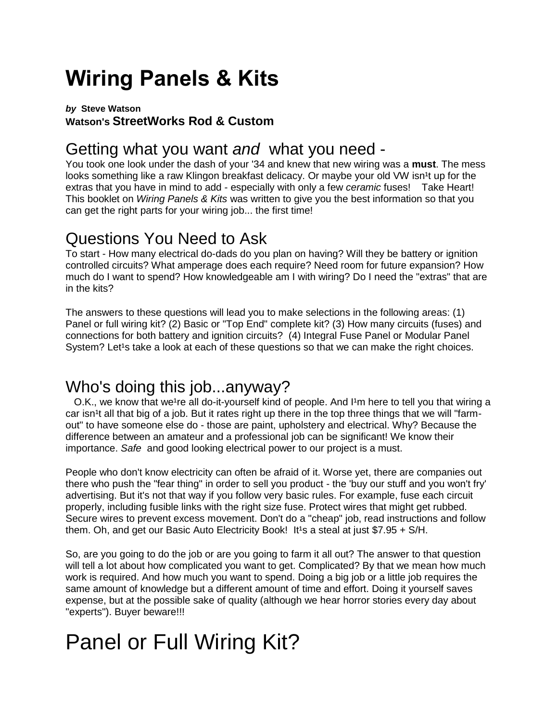# **Wiring Panels & Kits**

#### *by* **Steve Watson Watson's StreetWorks Rod & Custom**

## Getting what you want *and* what you need -

You took one look under the dash of your '34 and knew that new wiring was a **must**. The mess looks something like a raw Klingon breakfast delicacy. Or maybe your old VW isn<sup>1</sup>t up for the extras that you have in mind to add - especially with only a few *ceramic* fuses! Take Heart! This booklet on *Wiring Panels & Kits* was written to give you the best information so that you can get the right parts for your wiring job... the first time!

# Questions You Need to Ask

To start - How many electrical do-dads do you plan on having? Will they be battery or ignition controlled circuits? What amperage does each require? Need room for future expansion? How much do I want to spend? How knowledgeable am I with wiring? Do I need the "extras" that are in the kits?

The answers to these questions will lead you to make selections in the following areas: (1) Panel or full wiring kit? (2) Basic or "Top End" complete kit? (3) How many circuits (fuses) and connections for both battery and ignition circuits? (4) Integral Fuse Panel or Modular Panel System? Let<sup>1</sup>s take a look at each of these questions so that we can make the right choices.

### Who's doing this job...anyway?

O.K., we know that we<sup>1</sup>re all do-it-yourself kind of people. And I<sup>1</sup>m here to tell you that wiring a car isn<sup>1</sup>t all that big of a job. But it rates right up there in the top three things that we will "farmout" to have someone else do - those are paint, upholstery and electrical. Why? Because the difference between an amateur and a professional job can be significant! We know their importance. *Safe* and good looking electrical power to our project is a must.

People who don't know electricity can often be afraid of it. Worse yet, there are companies out there who push the "fear thing" in order to sell you product - the 'buy our stuff and you won't fry' advertising. But it's not that way if you follow very basic rules. For example, fuse each circuit properly, including fusible links with the right size fuse. Protect wires that might get rubbed. Secure wires to prevent excess movement. Don't do a "cheap" job, read instructions and follow them. Oh, and get our Basic Auto Electricity Book! It<sup>1</sup>s a steal at just  $$7.95 + S/H$ .

So, are you going to do the job or are you going to farm it all out? The answer to that question will tell a lot about how complicated you want to get. Complicated? By that we mean how much work is required. And how much you want to spend. Doing a big job or a little job requires the same amount of knowledge but a different amount of time and effort. Doing it yourself saves expense, but at the possible sake of quality (although we hear horror stories every day about "experts"). Buyer beware!!!

# Panel or Full Wiring Kit?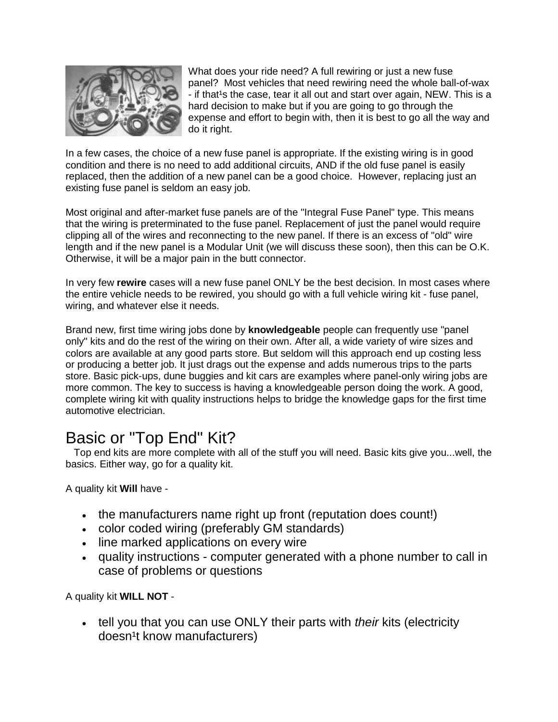

What does your ride need? A full rewiring or just a new fuse panel? Most vehicles that need rewiring need the whole ball-of-wax - if that<sup>1</sup>s the case, tear it all out and start over again, NEW. This is a hard decision to make but if you are going to go through the expense and effort to begin with, then it is best to go all the way and do it right.

In a few cases, the choice of a new fuse panel is appropriate. If the existing wiring is in good condition and there is no need to add additional circuits, AND if the old fuse panel is easily replaced, then the addition of a new panel can be a good choice. However, replacing just an existing fuse panel is seldom an easy job.

Most original and after-market fuse panels are of the "Integral Fuse Panel" type. This means that the wiring is preterminated to the fuse panel. Replacement of just the panel would require clipping all of the wires and reconnecting to the new panel. If there is an excess of "old" wire length and if the new panel is a Modular Unit (we will discuss these soon), then this can be O.K. Otherwise, it will be a major pain in the butt connector.

In very few **rewire** cases will a new fuse panel ONLY be the best decision. In most cases where the entire vehicle needs to be rewired, you should go with a full vehicle wiring kit - fuse panel, wiring, and whatever else it needs.

Brand new, first time wiring jobs done by **knowledgeable** people can frequently use "panel only" kits and do the rest of the wiring on their own. After all, a wide variety of wire sizes and colors are available at any good parts store. But seldom will this approach end up costing less or producing a better job. It just drags out the expense and adds numerous trips to the parts store. Basic pick-ups, dune buggies and kit cars are examples where panel-only wiring jobs are more common. The key to success is having a knowledgeable person doing the work. A good, complete wiring kit with quality instructions helps to bridge the knowledge gaps for the first time automotive electrician.

### Basic or "Top End" Kit?

 Top end kits are more complete with all of the stuff you will need. Basic kits give you...well, the basics. Either way, go for a quality kit.

A quality kit **Will** have -

- the manufacturers name right up front (reputation does count!)
- color coded wiring (preferably GM standards)
- line marked applications on every wire
- quality instructions computer generated with a phone number to call in case of problems or questions

A quality kit **WILL NOT** -

 tell you that you can use ONLY their parts with *their* kits (electricity doesn<sup>1</sup>t know manufacturers)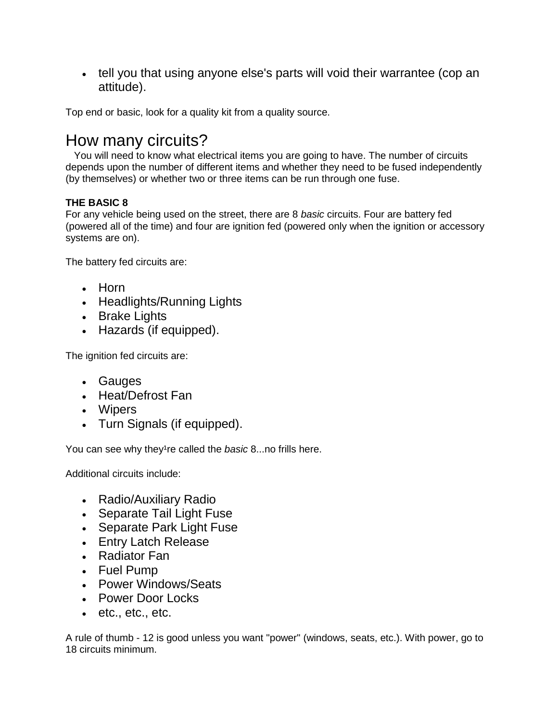• tell you that using anyone else's parts will void their warrantee (cop an attitude).

Top end or basic, look for a quality kit from a quality source.

#### How many circuits?

 You will need to know what electrical items you are going to have. The number of circuits depends upon the number of different items and whether they need to be fused independently (by themselves) or whether two or three items can be run through one fuse.

#### **THE BASIC 8**

For any vehicle being used on the street, there are 8 *basic* circuits. Four are battery fed (powered all of the time) and four are ignition fed (powered only when the ignition or accessory systems are on).

The battery fed circuits are:

- Horn
- Headlights/Running Lights
- Brake Lights
- Hazards (if equipped).

The ignition fed circuits are:

- Gauges
- Heat/Defrost Fan
- Wipers
- Turn Signals (if equipped).

You can see why they<sup>1</sup>re called the *basic* 8...no frills here.

Additional circuits include:

- Radio/Auxiliary Radio
- Separate Tail Light Fuse
- Separate Park Light Fuse
- Entry Latch Release
- Radiator Fan
- Fuel Pump
- Power Windows/Seats
- Power Door Locks
- $e$  etc., etc., etc.

A rule of thumb - 12 is good unless you want "power" (windows, seats, etc.). With power, go to 18 circuits minimum.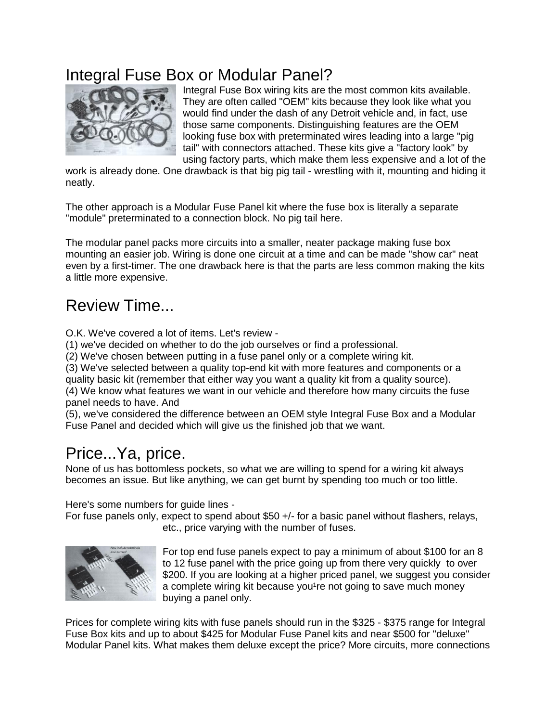# Integral Fuse Box or Modular Panel?



Integral Fuse Box wiring kits are the most common kits available. They are often called "OEM" kits because they look like what you would find under the dash of any Detroit vehicle and, in fact, use those same components. Distinguishing features are the OEM looking fuse box with preterminated wires leading into a large "pig tail" with connectors attached. These kits give a "factory look" by using factory parts, which make them less expensive and a lot of the

work is already done. One drawback is that big pig tail - wrestling with it, mounting and hiding it neatly.

The other approach is a Modular Fuse Panel kit where the fuse box is literally a separate "module" preterminated to a connection block. No pig tail here.

The modular panel packs more circuits into a smaller, neater package making fuse box mounting an easier job. Wiring is done one circuit at a time and can be made "show car" neat even by a first-timer. The one drawback here is that the parts are less common making the kits a little more expensive.

## Review Time...

O.K. We've covered a lot of items. Let's review -

(1) we've decided on whether to do the job ourselves or find a professional.

(2) We've chosen between putting in a fuse panel only or a complete wiring kit.

(3) We've selected between a quality top-end kit with more features and components or a quality basic kit (remember that either way you want a quality kit from a quality source). (4) We know what features we want in our vehicle and therefore how many circuits the fuse panel needs to have. And

(5), we've considered the difference between an OEM style Integral Fuse Box and a Modular Fuse Panel and decided which will give us the finished job that we want.

### Price...Ya, price.

None of us has bottomless pockets, so what we are willing to spend for a wiring kit always becomes an issue. But like anything, we can get burnt by spending too much or too little.

Here's some numbers for guide lines -

For fuse panels only, expect to spend about \$50 +/- for a basic panel without flashers, relays, etc., price varying with the number of fuses.



For top end fuse panels expect to pay a minimum of about \$100 for an 8 to 12 fuse panel with the price going up from there very quickly to over \$200. If you are looking at a higher priced panel, we suggest you consider a complete wiring kit because you<sup>1</sup>re not going to save much money buying a panel only.

Prices for complete wiring kits with fuse panels should run in the \$325 - \$375 range for Integral Fuse Box kits and up to about \$425 for Modular Fuse Panel kits and near \$500 for "deluxe" Modular Panel kits. What makes them deluxe except the price? More circuits, more connections